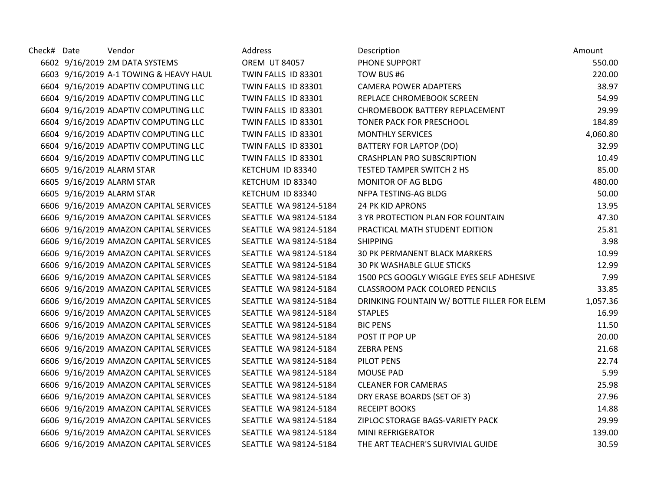| Check# Date | Vendor                                 | Address               | Description                                 | Amount   |
|-------------|----------------------------------------|-----------------------|---------------------------------------------|----------|
|             | 6602 9/16/2019 2M DATA SYSTEMS         | <b>OREM UT 84057</b>  | PHONE SUPPORT                               | 550.00   |
|             | 6603 9/16/2019 A-1 TOWING & HEAVY HAUL | TWIN FALLS ID 83301   | TOW BUS #6                                  | 220.00   |
|             | 6604 9/16/2019 ADAPTIV COMPUTING LLC   | TWIN FALLS ID 83301   | <b>CAMERA POWER ADAPTERS</b>                | 38.97    |
|             | 6604 9/16/2019 ADAPTIV COMPUTING LLC   | TWIN FALLS ID 83301   | REPLACE CHROMEBOOK SCREEN                   | 54.99    |
|             | 6604 9/16/2019 ADAPTIV COMPUTING LLC   | TWIN FALLS ID 83301   | CHROMEBOOK BATTERY REPLACEMENT              | 29.99    |
|             | 6604 9/16/2019 ADAPTIV COMPUTING LLC   | TWIN FALLS ID 83301   | TONER PACK FOR PRESCHOOL                    | 184.89   |
|             | 6604 9/16/2019 ADAPTIV COMPUTING LLC   | TWIN FALLS ID 83301   | <b>MONTHLY SERVICES</b>                     | 4,060.80 |
|             | 6604 9/16/2019 ADAPTIV COMPUTING LLC   | TWIN FALLS ID 83301   | BATTERY FOR LAPTOP (DO)                     | 32.99    |
|             | 6604 9/16/2019 ADAPTIV COMPUTING LLC   | TWIN FALLS ID 83301   | <b>CRASHPLAN PRO SUBSCRIPTION</b>           | 10.49    |
|             | 6605 9/16/2019 ALARM STAR              | KETCHUM ID 83340      | <b>TESTED TAMPER SWITCH 2 HS</b>            | 85.00    |
|             | 6605 9/16/2019 ALARM STAR              | KETCHUM ID 83340      | MONITOR OF AG BLDG                          | 480.00   |
|             | 6605 9/16/2019 ALARM STAR              | KETCHUM ID 83340      | NFPA TESTING-AG BLDG                        | 50.00    |
|             | 6606 9/16/2019 AMAZON CAPITAL SERVICES | SEATTLE WA 98124-5184 | <b>24 PK KID APRONS</b>                     | 13.95    |
|             | 6606 9/16/2019 AMAZON CAPITAL SERVICES | SEATTLE WA 98124-5184 | 3 YR PROTECTION PLAN FOR FOUNTAIN           | 47.30    |
|             | 6606 9/16/2019 AMAZON CAPITAL SERVICES | SEATTLE WA 98124-5184 | PRACTICAL MATH STUDENT EDITION              | 25.81    |
|             | 6606 9/16/2019 AMAZON CAPITAL SERVICES | SEATTLE WA 98124-5184 | <b>SHIPPING</b>                             | 3.98     |
|             | 6606 9/16/2019 AMAZON CAPITAL SERVICES | SEATTLE WA 98124-5184 | 30 PK PERMANENT BLACK MARKERS               | 10.99    |
|             | 6606 9/16/2019 AMAZON CAPITAL SERVICES | SEATTLE WA 98124-5184 | <b>30 PK WASHABLE GLUE STICKS</b>           | 12.99    |
|             | 6606 9/16/2019 AMAZON CAPITAL SERVICES | SEATTLE WA 98124-5184 | 1500 PCS GOOGLY WIGGLE EYES SELF ADHESIVE   | 7.99     |
|             | 6606 9/16/2019 AMAZON CAPITAL SERVICES | SEATTLE WA 98124-5184 | <b>CLASSROOM PACK COLORED PENCILS</b>       | 33.85    |
|             | 6606 9/16/2019 AMAZON CAPITAL SERVICES | SEATTLE WA 98124-5184 | DRINKING FOUNTAIN W/ BOTTLE FILLER FOR ELEM | 1,057.36 |
|             | 6606 9/16/2019 AMAZON CAPITAL SERVICES | SEATTLE WA 98124-5184 | <b>STAPLES</b>                              | 16.99    |
|             | 6606 9/16/2019 AMAZON CAPITAL SERVICES | SEATTLE WA 98124-5184 | <b>BIC PENS</b>                             | 11.50    |
|             | 6606 9/16/2019 AMAZON CAPITAL SERVICES | SEATTLE WA 98124-5184 | POST IT POP UP                              | 20.00    |
|             | 6606 9/16/2019 AMAZON CAPITAL SERVICES | SEATTLE WA 98124-5184 | <b>ZEBRA PENS</b>                           | 21.68    |
|             | 6606 9/16/2019 AMAZON CAPITAL SERVICES | SEATTLE WA 98124-5184 | PILOT PENS                                  | 22.74    |
|             | 6606 9/16/2019 AMAZON CAPITAL SERVICES | SEATTLE WA 98124-5184 | <b>MOUSE PAD</b>                            | 5.99     |
|             | 6606 9/16/2019 AMAZON CAPITAL SERVICES | SEATTLE WA 98124-5184 | <b>CLEANER FOR CAMERAS</b>                  | 25.98    |
|             | 6606 9/16/2019 AMAZON CAPITAL SERVICES | SEATTLE WA 98124-5184 | DRY ERASE BOARDS (SET OF 3)                 | 27.96    |
|             | 6606 9/16/2019 AMAZON CAPITAL SERVICES | SEATTLE WA 98124-5184 | <b>RECEIPT BOOKS</b>                        | 14.88    |
|             | 6606 9/16/2019 AMAZON CAPITAL SERVICES | SEATTLE WA 98124-5184 | ZIPLOC STORAGE BAGS-VARIETY PACK            | 29.99    |
|             | 6606 9/16/2019 AMAZON CAPITAL SERVICES | SEATTLE WA 98124-5184 | MINI REFRIGERATOR                           | 139.00   |
|             | 6606 9/16/2019 AMAZON CAPITAL SERVICES | SEATTLE WA 98124-5184 | THE ART TEACHER'S SURVIVIAL GUIDE           | 30.59    |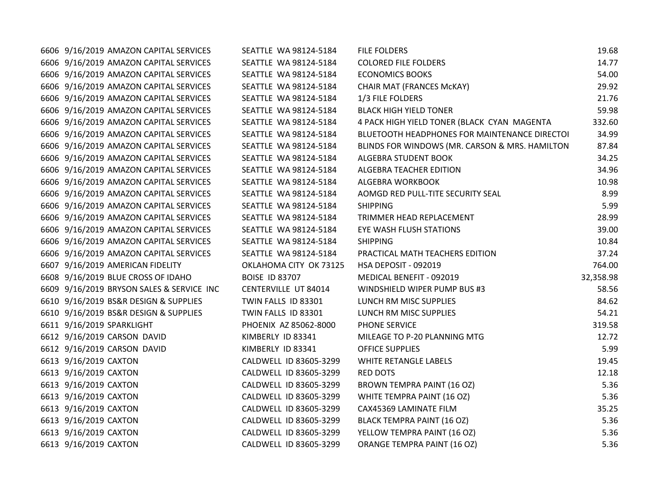| 6606 9/16/2019 AMAZON CAPITAL SERVICES    | SEATTLE WA 98124-5184  | <b>FILE FOLDERS</b>                            | 19.68     |
|-------------------------------------------|------------------------|------------------------------------------------|-----------|
| 6606 9/16/2019 AMAZON CAPITAL SERVICES    | SEATTLE WA 98124-5184  | <b>COLORED FILE FOLDERS</b>                    | 14.77     |
| 6606 9/16/2019 AMAZON CAPITAL SERVICES    | SEATTLE WA 98124-5184  | <b>ECONOMICS BOOKS</b>                         | 54.00     |
| 6606 9/16/2019 AMAZON CAPITAL SERVICES    | SEATTLE WA 98124-5184  | CHAIR MAT (FRANCES McKAY)                      | 29.92     |
| 6606 9/16/2019 AMAZON CAPITAL SERVICES    | SEATTLE WA 98124-5184  | 1/3 FILE FOLDERS                               | 21.76     |
| 6606 9/16/2019 AMAZON CAPITAL SERVICES    | SEATTLE WA 98124-5184  | <b>BLACK HIGH YIELD TONER</b>                  | 59.98     |
| 6606 9/16/2019 AMAZON CAPITAL SERVICES    | SEATTLE WA 98124-5184  | 4 PACK HIGH YIELD TONER (BLACK CYAN MAGENTA    | 332.60    |
| 6606 9/16/2019 AMAZON CAPITAL SERVICES    | SEATTLE WA 98124-5184  | BLUETOOTH HEADPHONES FOR MAINTENANCE DIRECTOI  | 34.99     |
| 6606 9/16/2019 AMAZON CAPITAL SERVICES    | SEATTLE WA 98124-5184  | BLINDS FOR WINDOWS (MR. CARSON & MRS. HAMILTON | 87.84     |
| 6606 9/16/2019 AMAZON CAPITAL SERVICES    | SEATTLE WA 98124-5184  | ALGEBRA STUDENT BOOK                           | 34.25     |
| 6606 9/16/2019 AMAZON CAPITAL SERVICES    | SEATTLE WA 98124-5184  | ALGEBRA TEACHER EDITION                        | 34.96     |
| 6606 9/16/2019 AMAZON CAPITAL SERVICES    | SEATTLE WA 98124-5184  | ALGEBRA WORKBOOK                               | 10.98     |
| 6606 9/16/2019 AMAZON CAPITAL SERVICES    | SEATTLE WA 98124-5184  | AOMGD RED PULL-TITE SECURITY SEAL              | 8.99      |
| 6606 9/16/2019 AMAZON CAPITAL SERVICES    | SEATTLE WA 98124-5184  | <b>SHIPPING</b>                                | 5.99      |
| 6606 9/16/2019 AMAZON CAPITAL SERVICES    | SEATTLE WA 98124-5184  | TRIMMER HEAD REPLACEMENT                       | 28.99     |
| 6606 9/16/2019 AMAZON CAPITAL SERVICES    | SEATTLE WA 98124-5184  | EYE WASH FLUSH STATIONS                        | 39.00     |
| 6606 9/16/2019 AMAZON CAPITAL SERVICES    | SEATTLE WA 98124-5184  | <b>SHIPPING</b>                                | 10.84     |
| 6606 9/16/2019 AMAZON CAPITAL SERVICES    | SEATTLE WA 98124-5184  | PRACTICAL MATH TEACHERS EDITION                | 37.24     |
| 6607 9/16/2019 AMERICAN FIDELITY          | OKLAHOMA CITY OK 73125 | HSA DEPOSIT - 092019                           | 764.00    |
| 6608 9/16/2019 BLUE CROSS OF IDAHO        | <b>BOISE ID 83707</b>  | MEDICAL BENEFIT - 092019                       | 32,358.98 |
| 6609 9/16/2019 BRYSON SALES & SERVICE INC | CENTERVILLE UT 84014   | WINDSHIELD WIPER PUMP BUS #3                   | 58.56     |
| 6610 9/16/2019 BS&R DESIGN & SUPPLIES     | TWIN FALLS ID 83301    | LUNCH RM MISC SUPPLIES                         | 84.62     |
| 6610 9/16/2019 BS&R DESIGN & SUPPLIES     | TWIN FALLS ID 83301    | LUNCH RM MISC SUPPLIES                         | 54.21     |
| 6611 9/16/2019 SPARKLIGHT                 | PHOENIX AZ 85062-8000  | PHONE SERVICE                                  | 319.58    |
| 6612 9/16/2019 CARSON DAVID               | KIMBERLY ID 83341      | MILEAGE TO P-20 PLANNING MTG                   | 12.72     |
| 6612 9/16/2019 CARSON DAVID               | KIMBERLY ID 83341      | <b>OFFICE SUPPLIES</b>                         | 5.99      |
| 6613 9/16/2019 CAXTON                     | CALDWELL ID 83605-3299 | WHITE RETANGLE LABELS                          | 19.45     |
| 6613 9/16/2019 CAXTON                     | CALDWELL ID 83605-3299 | <b>RED DOTS</b>                                | 12.18     |
| 6613 9/16/2019 CAXTON                     | CALDWELL ID 83605-3299 | BROWN TEMPRA PAINT (16 OZ)                     | 5.36      |
| 6613 9/16/2019 CAXTON                     | CALDWELL ID 83605-3299 | WHITE TEMPRA PAINT (16 OZ)                     | 5.36      |
| 6613 9/16/2019 CAXTON                     | CALDWELL ID 83605-3299 | CAX45369 LAMINATE FILM                         | 35.25     |
| 6613 9/16/2019 CAXTON                     | CALDWELL ID 83605-3299 | BLACK TEMPRA PAINT (16 OZ)                     | 5.36      |
| 6613 9/16/2019 CAXTON                     | CALDWELL ID 83605-3299 | YELLOW TEMPRA PAINT (16 OZ)                    | 5.36      |
| 6613 9/16/2019 CAXTON                     | CALDWELL ID 83605-3299 | ORANGE TEMPRA PAINT (16 OZ)                    | 5.36      |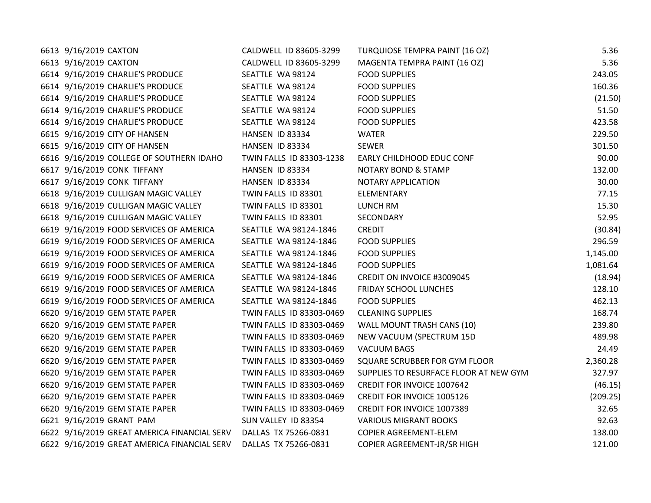| 6613 9/16/2019 CAXTON                                            | CALDWELL ID 83605-3299   | <b>TURQUIOSE TEMPRA PAINT (16 OZ)</b>  | 5.36     |
|------------------------------------------------------------------|--------------------------|----------------------------------------|----------|
| 6613 9/16/2019 CAXTON                                            | CALDWELL ID 83605-3299   | MAGENTA TEMPRA PAINT (16 OZ)           | 5.36     |
| 6614 9/16/2019 CHARLIE'S PRODUCE                                 | SEATTLE WA 98124         | <b>FOOD SUPPLIES</b>                   | 243.05   |
| 6614 9/16/2019 CHARLIE'S PRODUCE                                 | SEATTLE WA 98124         | <b>FOOD SUPPLIES</b>                   | 160.36   |
| 6614 9/16/2019 CHARLIE'S PRODUCE                                 | SEATTLE WA 98124         | <b>FOOD SUPPLIES</b>                   | (21.50)  |
| 6614 9/16/2019 CHARLIE'S PRODUCE                                 | SEATTLE WA 98124         | <b>FOOD SUPPLIES</b>                   | 51.50    |
| 6614 9/16/2019 CHARLIE'S PRODUCE                                 | SEATTLE WA 98124         | <b>FOOD SUPPLIES</b>                   | 423.58   |
| 6615 9/16/2019 CITY OF HANSEN                                    | HANSEN ID 83334          | WATER                                  | 229.50   |
| 6615 9/16/2019 CITY OF HANSEN                                    | HANSEN ID 83334          | <b>SEWER</b>                           | 301.50   |
| 6616 9/16/2019 COLLEGE OF SOUTHERN IDAHO                         | TWIN FALLS ID 83303-1238 | EARLY CHILDHOOD EDUC CONF              | 90.00    |
| 6617 9/16/2019 CONK TIFFANY                                      | HANSEN ID 83334          | <b>NOTARY BOND &amp; STAMP</b>         | 132.00   |
| 6617 9/16/2019 CONK TIFFANY                                      | HANSEN ID 83334          | NOTARY APPLICATION                     | 30.00    |
| 6618 9/16/2019 CULLIGAN MAGIC VALLEY                             | TWIN FALLS ID 83301      | ELEMENTARY                             | 77.15    |
| 6618 9/16/2019 CULLIGAN MAGIC VALLEY                             | TWIN FALLS ID 83301      | LUNCH RM                               | 15.30    |
| 6618 9/16/2019 CULLIGAN MAGIC VALLEY                             | TWIN FALLS ID 83301      | SECONDARY                              | 52.95    |
| 6619 9/16/2019 FOOD SERVICES OF AMERICA                          | SEATTLE WA 98124-1846    | <b>CREDIT</b>                          | (30.84)  |
| 6619 9/16/2019 FOOD SERVICES OF AMERICA                          | SEATTLE WA 98124-1846    | <b>FOOD SUPPLIES</b>                   | 296.59   |
| 6619 9/16/2019 FOOD SERVICES OF AMERICA                          | SEATTLE WA 98124-1846    | <b>FOOD SUPPLIES</b>                   | 1,145.00 |
| 6619 9/16/2019 FOOD SERVICES OF AMERICA                          | SEATTLE WA 98124-1846    | <b>FOOD SUPPLIES</b>                   | 1,081.64 |
| 6619 9/16/2019 FOOD SERVICES OF AMERICA                          | SEATTLE WA 98124-1846    | CREDIT ON INVOICE #3009045             | (18.94)  |
| 6619 9/16/2019 FOOD SERVICES OF AMERICA                          | SEATTLE WA 98124-1846    | <b>FRIDAY SCHOOL LUNCHES</b>           | 128.10   |
| 6619 9/16/2019 FOOD SERVICES OF AMERICA                          | SEATTLE WA 98124-1846    | <b>FOOD SUPPLIES</b>                   | 462.13   |
| 6620 9/16/2019 GEM STATE PAPER                                   | TWIN FALLS ID 83303-0469 | <b>CLEANING SUPPLIES</b>               | 168.74   |
| 6620 9/16/2019 GEM STATE PAPER                                   | TWIN FALLS ID 83303-0469 | WALL MOUNT TRASH CANS (10)             | 239.80   |
| 6620 9/16/2019 GEM STATE PAPER                                   | TWIN FALLS ID 83303-0469 | NEW VACUUM (SPECTRUM 15D               | 489.98   |
| 6620 9/16/2019 GEM STATE PAPER                                   | TWIN FALLS ID 83303-0469 | <b>VACUUM BAGS</b>                     | 24.49    |
| 6620 9/16/2019 GEM STATE PAPER                                   | TWIN FALLS ID 83303-0469 | SQUARE SCRUBBER FOR GYM FLOOR          | 2,360.28 |
| 6620 9/16/2019 GEM STATE PAPER                                   | TWIN FALLS ID 83303-0469 | SUPPLIES TO RESURFACE FLOOR AT NEW GYM | 327.97   |
| 6620 9/16/2019 GEM STATE PAPER                                   | TWIN FALLS ID 83303-0469 | CREDIT FOR INVOICE 1007642             | (46.15)  |
| 6620 9/16/2019 GEM STATE PAPER                                   | TWIN FALLS ID 83303-0469 | CREDIT FOR INVOICE 1005126             | (209.25) |
| 6620 9/16/2019 GEM STATE PAPER                                   | TWIN FALLS ID 83303-0469 | CREDIT FOR INVOICE 1007389             | 32.65    |
| 6621 9/16/2019 GRANT PAM                                         | SUN VALLEY ID 83354      | <b>VARIOUS MIGRANT BOOKS</b>           | 92.63    |
| 6622 9/16/2019 GREAT AMERICA FINANCIAL SERV DALLAS TX 75266-0831 |                          | COPIER AGREEMENT-ELEM                  | 138.00   |
| 6622 9/16/2019 GREAT AMERICA FINANCIAL SERV                      | DALLAS TX 75266-0831     | COPIER AGREEMENT-JR/SR HIGH            | 121.00   |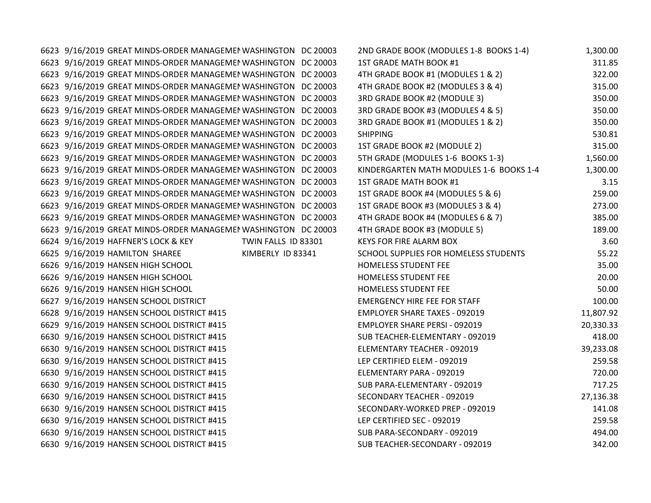6623 9/16/2019 GREAT MINDS-ORDER MANAGEMEN WASHINGTON DC 20003 6623 9/16/2019 GREAT MINDS-ORDER MANAGEMEN WASHINGTON DC 20003 6623 9/16/2019 GREAT MINDS-ORDER MANAGEMEN WASHINGTON DC 20003 6623 9/16/2019 GREAT MINDS-ORDER MANAGEMEN WASHINGTON DC 20003 6623 9/16/2019 GREAT MINDS-ORDER MANAGEMEI WASHINGTON DC 20003 6623 9/16/2019 GREAT MINDS-ORDER MANAGEMEN WASHINGTON DC 20003 6623 9/16/2019 GREAT MINDS-ORDER MANAGEMEN WASHINGTON DC 20003 6623 9/16/2019 GREAT MINDS-ORDER MANAGEMEN WASHINGTON DC 20003 6623 9/16/2019 GREAT MINDS-ORDER MANAGEMEN WASHINGTON DC 20003 6623 9/16/2019 GREAT MINDS-ORDER MANAGEMEN WASHINGTON DC 20003 6623 9/16/2019 GREAT MINDS-ORDER MANAGEMEN WASHINGTON DC 20003 6623 9/16/2019 GREAT MINDS-ORDER MANAGEMEN WASHINGTON DC 20003 6623 9/16/2019 GREAT MINDS-ORDER MANAGEMEN WASHINGTON DC 20003 6623 9/16/2019 GREAT MINDS-ORDER MANAGEMEN WASHINGTON DC 20003 6623 9/16/2019 GREAT MINDS-ORDER MANAGEMEN WASHINGTON DC 20003 6623 9/16/2019 GREAT MINDS-ORDER MANAGEMEN WASHINGTON DC 20003 6624 9/16/2019 HAFFNER'S LOCK & KEY TWIN FALLS ID 83301 6625 9/16/2019 HAMILTON SHAREE KIMBERLY ID 83341 6626 9/16/2019 HANSEN HIGH SCHOOL 6626 9/16/2019 HANSEN HIGH SCHOOL 6626 9/16/2019 HANSEN HIGH SCHOOL 6627 9/16/2019 HANSEN SCHOOL DISTRICT 6628 9/16/2019 HANSEN SCHOOL DISTRICT #415 6629 9/16/2019 HANSEN SCHOOL DISTRICT #415 6630 9/16/2019 HANSEN SCHOOL DISTRICT #415 6630 9/16/2019 HANSEN SCHOOL DISTRICT #415 6630 9/16/2019 HANSEN SCHOOL DISTRICT #415 6630 9/16/2019 HANSEN SCHOOL DISTRICT #415 6630 9/16/2019 HANSEN SCHOOL DISTRICT #415 6630 9/16/2019 HANSEN SCHOOL DISTRICT #415 6630 9/16/2019 HANSEN SCHOOL DISTRICT #415 6630 9/16/2019 HANSEN SCHOOL DISTRICT #415 6630 9/16/2019 HANSEN SCHOOL DISTRICT #415 6630 9/16/2019 HANSEN SCHOOL DISTRICT #415

| 2ND GRADE BOOK (MODULES 1-8 BOOKS 1-4)  | 1,300.00  |
|-----------------------------------------|-----------|
| 1ST GRADE MATH BOOK #1                  | 311.85    |
| 4TH GRADE BOOK #1 (MODULES 1 & 2)       | 322.00    |
| 4TH GRADE BOOK #2 (MODULES 3 & 4)       | 315.00    |
| 3RD GRADE BOOK #2 (MODULE 3)            | 350.00    |
| 3RD GRADE BOOK #3 (MODULES 4 & 5)       | 350.00    |
| 3RD GRADE BOOK #1 (MODULES 1 & 2)       | 350.00    |
| <b>SHIPPING</b>                         | 530.81    |
| 1ST GRADE BOOK #2 (MODULE 2)            | 315.00    |
| 5TH GRADE (MODULES 1-6 BOOKS 1-3)       | 1,560.00  |
| KINDERGARTEN MATH MODULES 1-6 BOOKS 1-4 | 1,300.00  |
| 1ST GRADE MATH BOOK #1                  | 3.15      |
| 1ST GRADE BOOK #4 (MODULES 5 & 6)       | 259.00    |
| 1ST GRADE BOOK #3 (MODULES 3 & 4)       | 273.00    |
| 4TH GRADE BOOK #4 (MODULES 6 & 7)       | 385.00    |
| 4TH GRADE BOOK #3 (MODULE 5)            | 189.00    |
| <b>KEYS FOR FIRE ALARM BOX</b>          | 3.60      |
| SCHOOL SUPPLIES FOR HOMELESS STUDENTS   | 55.22     |
| <b>HOMELESS STUDENT FEE</b>             | 35.00     |
| <b>HOMELESS STUDENT FEE</b>             | 20.00     |
| <b>HOMELESS STUDENT FEE</b>             | 50.00     |
| <b>EMERGENCY HIRE FEE FOR STAFF</b>     | 100.00    |
| <b>EMPLOYER SHARE TAXES - 092019</b>    | 11,807.92 |
| <b>EMPLOYER SHARE PERSI - 092019</b>    | 20,330.33 |
| SUB TEACHER-ELEMENTARY - 092019         | 418.00    |
| ELEMENTARY TEACHER - 092019             | 39,233.08 |
| LEP CERTIFIED ELEM - 092019             | 259.58    |
| ELEMENTARY PARA - 092019                | 720.00    |
| SUB PARA-ELEMENTARY - 092019            | 717.25    |
| <b>SECONDARY TEACHER - 092019</b>       | 27,136.38 |
| SECONDARY-WORKED PREP - 092019          | 141.08    |
| LEP CERTIFIED SEC - 092019              | 259.58    |
| SUB PARA-SECONDARY - 092019             | 494.00    |
| SUB TEACHER-SECONDARY - 092019          | 342.00    |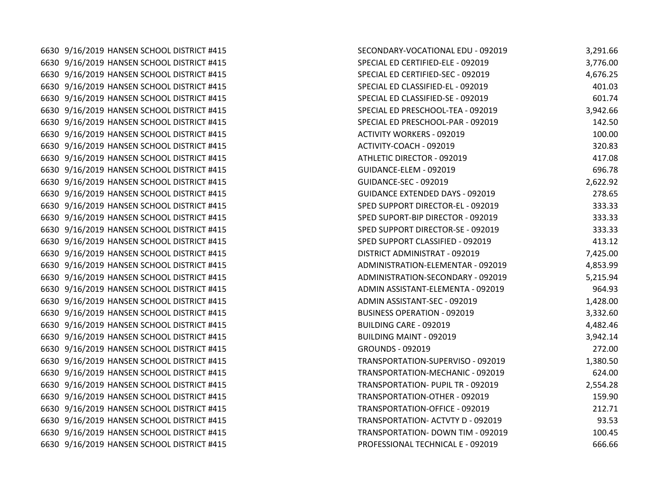6630 9/16/2019 HANSEN SCHOOL DISTRICT #415 6630 9/16/2019 HANSEN SCHOOL DISTRICT #415 6630 9/16/2019 HANSEN SCHOOL DISTRICT #415 6630 9/16/2019 HANSEN SCHOOL DISTRICT #415 6630 9/16/2019 HANSEN SCHOOL DISTRICT #415 6630 9/16/2019 HANSEN SCHOOL DISTRICT #415 6630 9/16/2019 HANSEN SCHOOL DISTRICT #415 6630 9/16/2019 HANSEN SCHOOL DISTRICT #415 6630 9/16/2019 HANSEN SCHOOL DISTRICT #415 6630 9/16/2019 HANSEN SCHOOL DISTRICT #415 6630 9/16/2019 HANSEN SCHOOL DISTRICT #415 6630 9/16/2019 HANSEN SCHOOL DISTRICT #415 6630 9/16/2019 HANSEN SCHOOL DISTRICT #415 6630 9/16/2019 HANSEN SCHOOL DISTRICT #415 6630 9/16/2019 HANSEN SCHOOL DISTRICT #415 6630 9/16/2019 HANSEN SCHOOL DISTRICT #415 6630 9/16/2019 HANSEN SCHOOL DISTRICT #415 6630 9/16/2019 HANSEN SCHOOL DISTRICT #415 6630 9/16/2019 HANSEN SCHOOL DISTRICT #415 6630 9/16/2019 HANSEN SCHOOL DISTRICT #415 6630 9/16/2019 HANSEN SCHOOL DISTRICT #415 6630 9/16/2019 HANSEN SCHOOL DISTRICT #415 6630 9/16/2019 HANSEN SCHOOL DISTRICT #415 6630 9/16/2019 HANSEN SCHOOL DISTRICT #415 6630 9/16/2019 HANSEN SCHOOL DISTRICT #415 6630 9/16/2019 HANSEN SCHOOL DISTRICT #415 6630 9/16/2019 HANSEN SCHOOL DISTRICT #415 6630 9/16/2019 HANSEN SCHOOL DISTRICT #415 6630 9/16/2019 HANSEN SCHOOL DISTRICT #415 6630 9/16/2019 HANSEN SCHOOL DISTRICT #415 6630 9/16/2019 HANSEN SCHOOL DISTRICT #415 6630 9/16/2019 HANSEN SCHOOL DISTRICT #415 6630 9/16/2019 HANSEN SCHOOL DISTRICT #415 6630 9/16/2019 HANSEN SCHOOL DISTRICT #415

| SECONDARY-VOCATIONAL EDU - 092019      | 3,291.66 |
|----------------------------------------|----------|
| SPECIAL ED CERTIFIED-ELE - 092019      | 3,776.00 |
| SPECIAL ED CERTIFIED-SEC - 092019      | 4,676.25 |
| SPECIAL ED CLASSIFIED-EL - 092019      | 401.03   |
| SPECIAL ED CLASSIFIED-SE - 092019      | 601.74   |
| SPECIAL ED PRESCHOOL-TEA - 092019      | 3,942.66 |
| SPECIAL ED PRESCHOOL-PAR - 092019      | 142.50   |
| <b>ACTIVITY WORKERS - 092019</b>       | 100.00   |
| ACTIVITY-COACH - 092019                | 320.83   |
| ATHLETIC DIRECTOR - 092019             | 417.08   |
| GUIDANCE-ELEM - 092019                 | 696.78   |
| GUIDANCE-SEC - 092019                  | 2,622.92 |
| <b>GUIDANCE EXTENDED DAYS - 092019</b> | 278.65   |
| SPED SUPPORT DIRECTOR-EL - 092019      | 333.33   |
| SPED SUPORT-BIP DIRECTOR - 092019      | 333.33   |
| SPED SUPPORT DIRECTOR-SE - 092019      | 333.33   |
| SPED SUPPORT CLASSIFIED - 092019       | 413.12   |
| DISTRICT ADMINISTRAT - 092019          | 7,425.00 |
| ADMINISTRATION-ELEMENTAR - 092019      | 4,853.99 |
| ADMINISTRATION-SECONDARY - 092019      | 5,215.94 |
| ADMIN ASSISTANT-ELEMENTA - 092019      | 964.93   |
| ADMIN ASSISTANT-SEC - 092019           | 1,428.00 |
| <b>BUSINESS OPERATION - 092019</b>     | 3,332.60 |
| <b>BUILDING CARE - 092019</b>          | 4,482.46 |
| <b>BUILDING MAINT - 092019</b>         | 3,942.14 |
| <b>GROUNDS - 092019</b>                | 272.00   |
| TRANSPORTATION-SUPERVISO - 092019      | 1,380.50 |
| TRANSPORTATION-MECHANIC - 092019       | 624.00   |
| TRANSPORTATION- PUPIL TR - 092019      | 2,554.28 |
| TRANSPORTATION-OTHER - 092019          | 159.90   |
| TRANSPORTATION-OFFICE - 092019         | 212.71   |
| TRANSPORTATION- ACTVTY D - 092019      | 93.53    |
| TRANSPORTATION- DOWN TIM - 092019      | 100.45   |
| PROFESSIONAL TECHNICAL E - 092019      | 666.66   |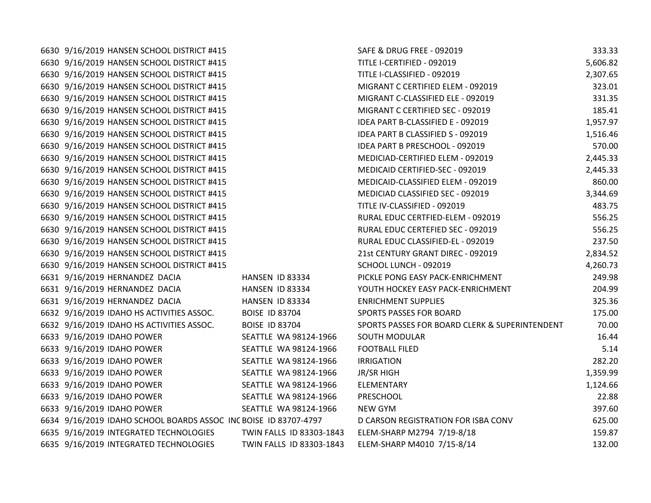| 6630 9/16/2019 HANSEN SCHOOL DISTRICT #415                       |                          | SAFE & DRUG FREE - 092019                      | 333.33   |
|------------------------------------------------------------------|--------------------------|------------------------------------------------|----------|
| 6630 9/16/2019 HANSEN SCHOOL DISTRICT #415                       |                          | TITLE I-CERTIFIED - 092019                     | 5,606.82 |
| 6630 9/16/2019 HANSEN SCHOOL DISTRICT #415                       |                          | TITLE I-CLASSIFIED - 092019                    | 2,307.65 |
| 6630 9/16/2019 HANSEN SCHOOL DISTRICT #415                       |                          | MIGRANT C CERTIFIED ELEM - 092019              | 323.01   |
| 6630 9/16/2019 HANSEN SCHOOL DISTRICT #415                       |                          | MIGRANT C-CLASSIFIED ELE - 092019              | 331.35   |
| 6630 9/16/2019 HANSEN SCHOOL DISTRICT #415                       |                          | MIGRANT C CERTIFIED SEC - 092019               | 185.41   |
| 6630 9/16/2019 HANSEN SCHOOL DISTRICT #415                       |                          | IDEA PART B-CLASSIFIED E - 092019              | 1,957.97 |
| 6630 9/16/2019 HANSEN SCHOOL DISTRICT #415                       |                          | IDEA PART B CLASSIFIED S - 092019              | 1,516.46 |
| 6630 9/16/2019 HANSEN SCHOOL DISTRICT #415                       |                          | IDEA PART B PRESCHOOL - 092019                 | 570.00   |
| 6630 9/16/2019 HANSEN SCHOOL DISTRICT #415                       |                          | MEDICIAD-CERTIFIED ELEM - 092019               | 2,445.33 |
| 6630 9/16/2019 HANSEN SCHOOL DISTRICT #415                       |                          | MEDICAID CERTIFIED-SEC - 092019                | 2,445.33 |
| 6630 9/16/2019 HANSEN SCHOOL DISTRICT #415                       |                          | MEDICAID-CLASSIFIED ELEM - 092019              | 860.00   |
| 6630 9/16/2019 HANSEN SCHOOL DISTRICT #415                       |                          | MEDICIAD CLASSIFIED SEC - 092019               | 3,344.69 |
| 6630 9/16/2019 HANSEN SCHOOL DISTRICT #415                       |                          | TITLE IV-CLASSIFIED - 092019                   | 483.75   |
| 6630 9/16/2019 HANSEN SCHOOL DISTRICT #415                       |                          | RURAL EDUC CERTFIED-ELEM - 092019              | 556.25   |
| 6630 9/16/2019 HANSEN SCHOOL DISTRICT #415                       |                          | RURAL EDUC CERTEFIED SEC - 092019              | 556.25   |
| 6630 9/16/2019 HANSEN SCHOOL DISTRICT #415                       |                          | RURAL EDUC CLASSIFIED-EL - 092019              | 237.50   |
| 6630 9/16/2019 HANSEN SCHOOL DISTRICT #415                       |                          | 21st CENTURY GRANT DIREC - 092019              | 2,834.52 |
| 6630 9/16/2019 HANSEN SCHOOL DISTRICT #415                       |                          | SCHOOL LUNCH - 092019                          | 4,260.73 |
| 6631 9/16/2019 HERNANDEZ DACIA                                   | HANSEN ID 83334          | PICKLE PONG EASY PACK-ENRICHMENT               | 249.98   |
| 6631 9/16/2019 HERNANDEZ DACIA                                   | HANSEN ID 83334          | YOUTH HOCKEY EASY PACK-ENRICHMENT              | 204.99   |
| 6631 9/16/2019 HERNANDEZ DACIA                                   | HANSEN ID 83334          | <b>ENRICHMENT SUPPLIES</b>                     | 325.36   |
| 6632 9/16/2019 IDAHO HS ACTIVITIES ASSOC.                        | <b>BOISE ID 83704</b>    | SPORTS PASSES FOR BOARD                        | 175.00   |
| 6632 9/16/2019 IDAHO HS ACTIVITIES ASSOC.                        | <b>BOISE ID 83704</b>    | SPORTS PASSES FOR BOARD CLERK & SUPERINTENDENT | 70.00    |
| 6633 9/16/2019 IDAHO POWER                                       | SEATTLE WA 98124-1966    | SOUTH MODULAR                                  | 16.44    |
| 6633 9/16/2019 IDAHO POWER                                       | SEATTLE WA 98124-1966    | <b>FOOTBALL FILED</b>                          | 5.14     |
| 6633 9/16/2019 IDAHO POWER                                       | SEATTLE WA 98124-1966    | <b>IRRIGATION</b>                              | 282.20   |
| 6633 9/16/2019 IDAHO POWER                                       | SEATTLE WA 98124-1966    | JR/SR HIGH                                     | 1,359.99 |
| 6633 9/16/2019 IDAHO POWER                                       | SEATTLE WA 98124-1966    | ELEMENTARY                                     | 1,124.66 |
| 6633 9/16/2019 IDAHO POWER                                       | SEATTLE WA 98124-1966    | PRESCHOOL                                      | 22.88    |
| 6633 9/16/2019 IDAHO POWER                                       | SEATTLE WA 98124-1966    | <b>NEW GYM</b>                                 | 397.60   |
| 6634 9/16/2019 IDAHO SCHOOL BOARDS ASSOC INC BOISE ID 83707-4797 |                          | D CARSON REGISTRATION FOR ISBA CONV            | 625.00   |
| 6635 9/16/2019 INTEGRATED TECHNOLOGIES                           | TWIN FALLS ID 83303-1843 | ELEM-SHARP M2794 7/19-8/18                     | 159.87   |
| 6635 9/16/2019 INTEGRATED TECHNOLOGIES                           | TWIN FALLS ID 83303-1843 | ELEM-SHARP M4010 7/15-8/14                     | 132.00   |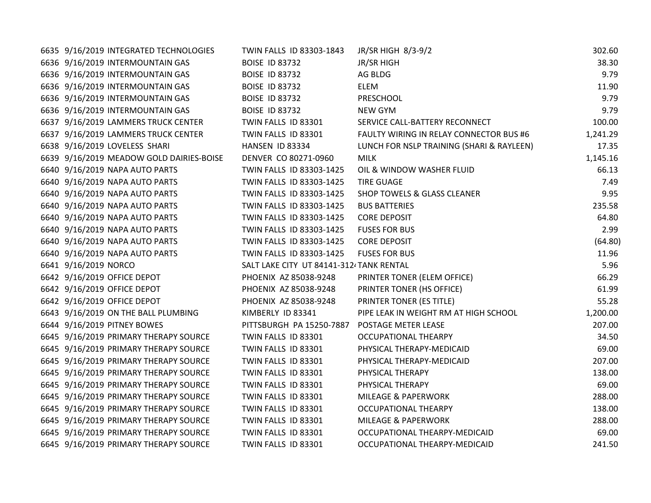| 6635 9/16/2019 INTEGRATED TECHNOLOGIES   | TWIN FALLS ID 83303-1843                 | JR/SR HIGH 8/3-9/2                        | 302.60   |
|------------------------------------------|------------------------------------------|-------------------------------------------|----------|
| 6636 9/16/2019 INTERMOUNTAIN GAS         | <b>BOISE ID 83732</b>                    | <b>JR/SR HIGH</b>                         | 38.30    |
| 6636 9/16/2019 INTERMOUNTAIN GAS         | <b>BOISE ID 83732</b>                    | AG BLDG                                   | 9.79     |
| 6636 9/16/2019 INTERMOUNTAIN GAS         | <b>BOISE ID 83732</b>                    | ELEM                                      | 11.90    |
| 6636 9/16/2019 INTERMOUNTAIN GAS         | <b>BOISE ID 83732</b>                    | <b>PRESCHOOL</b>                          | 9.79     |
| 6636 9/16/2019 INTERMOUNTAIN GAS         | <b>BOISE ID 83732</b>                    | <b>NEW GYM</b>                            | 9.79     |
| 6637 9/16/2019 LAMMERS TRUCK CENTER      | TWIN FALLS ID 83301                      | SERVICE CALL-BATTERY RECONNECT            | 100.00   |
| 6637 9/16/2019 LAMMERS TRUCK CENTER      | TWIN FALLS ID 83301                      | FAULTY WIRING IN RELAY CONNECTOR BUS #6   | 1,241.29 |
| 6638 9/16/2019 LOVELESS SHARI            | HANSEN ID 83334                          | LUNCH FOR NSLP TRAINING (SHARI & RAYLEEN) | 17.35    |
| 6639 9/16/2019 MEADOW GOLD DAIRIES-BOISE | DENVER CO 80271-0960                     | <b>MILK</b>                               | 1,145.16 |
| 6640 9/16/2019 NAPA AUTO PARTS           | TWIN FALLS ID 83303-1425                 | OIL & WINDOW WASHER FLUID                 | 66.13    |
| 6640 9/16/2019 NAPA AUTO PARTS           | TWIN FALLS ID 83303-1425                 | <b>TIRE GUAGE</b>                         | 7.49     |
| 6640 9/16/2019 NAPA AUTO PARTS           | TWIN FALLS ID 83303-1425                 | SHOP TOWELS & GLASS CLEANER               | 9.95     |
| 6640 9/16/2019 NAPA AUTO PARTS           | TWIN FALLS ID 83303-1425                 | <b>BUS BATTERIES</b>                      | 235.58   |
| 6640 9/16/2019 NAPA AUTO PARTS           | TWIN FALLS ID 83303-1425                 | <b>CORE DEPOSIT</b>                       | 64.80    |
| 6640 9/16/2019 NAPA AUTO PARTS           | TWIN FALLS ID 83303-1425                 | <b>FUSES FOR BUS</b>                      | 2.99     |
| 6640 9/16/2019 NAPA AUTO PARTS           | TWIN FALLS ID 83303-1425                 | <b>CORE DEPOSIT</b>                       | (64.80)  |
| 6640 9/16/2019 NAPA AUTO PARTS           | TWIN FALLS ID 83303-1425                 | <b>FUSES FOR BUS</b>                      | 11.96    |
| 6641 9/16/2019 NORCO                     | SALT LAKE CITY UT 84141-3124 TANK RENTAL |                                           | 5.96     |
| 6642 9/16/2019 OFFICE DEPOT              | PHOENIX AZ 85038-9248                    | PRINTER TONER (ELEM OFFICE)               | 66.29    |
| 6642 9/16/2019 OFFICE DEPOT              | PHOENIX AZ 85038-9248                    | PRINTER TONER (HS OFFICE)                 | 61.99    |
| 6642 9/16/2019 OFFICE DEPOT              | PHOENIX AZ 85038-9248                    | PRINTER TONER (ES TITLE)                  | 55.28    |
| 6643 9/16/2019 ON THE BALL PLUMBING      | KIMBERLY ID 83341                        | PIPE LEAK IN WEIGHT RM AT HIGH SCHOOL     | 1,200.00 |
| 6644 9/16/2019 PITNEY BOWES              | PITTSBURGH PA 15250-7887                 | POSTAGE METER LEASE                       | 207.00   |
| 6645 9/16/2019 PRIMARY THERAPY SOURCE    | TWIN FALLS ID 83301                      | <b>OCCUPATIONAL THEARPY</b>               | 34.50    |
| 6645 9/16/2019 PRIMARY THERAPY SOURCE    | TWIN FALLS ID 83301                      | PHYSICAL THERAPY-MEDICAID                 | 69.00    |
| 6645 9/16/2019 PRIMARY THERAPY SOURCE    | TWIN FALLS ID 83301                      | PHYSICAL THERAPY-MEDICAID                 | 207.00   |
| 6645 9/16/2019 PRIMARY THERAPY SOURCE    | TWIN FALLS ID 83301                      | PHYSICAL THERAPY                          | 138.00   |
| 6645 9/16/2019 PRIMARY THERAPY SOURCE    | TWIN FALLS ID 83301                      | PHYSICAL THERAPY                          | 69.00    |
| 6645 9/16/2019 PRIMARY THERAPY SOURCE    | TWIN FALLS ID 83301                      | <b>MILEAGE &amp; PAPERWORK</b>            | 288.00   |
| 6645 9/16/2019 PRIMARY THERAPY SOURCE    | TWIN FALLS ID 83301                      | OCCUPATIONAL THEARPY                      | 138.00   |
| 6645 9/16/2019 PRIMARY THERAPY SOURCE    | TWIN FALLS ID 83301                      | <b>MILEAGE &amp; PAPERWORK</b>            | 288.00   |
| 6645 9/16/2019 PRIMARY THERAPY SOURCE    | TWIN FALLS ID 83301                      | OCCUPATIONAL THEARPY-MEDICAID             | 69.00    |
| 6645 9/16/2019 PRIMARY THERAPY SOURCE    | TWIN FALLS ID 83301                      | OCCUPATIONAL THEARPY-MEDICAID             | 241.50   |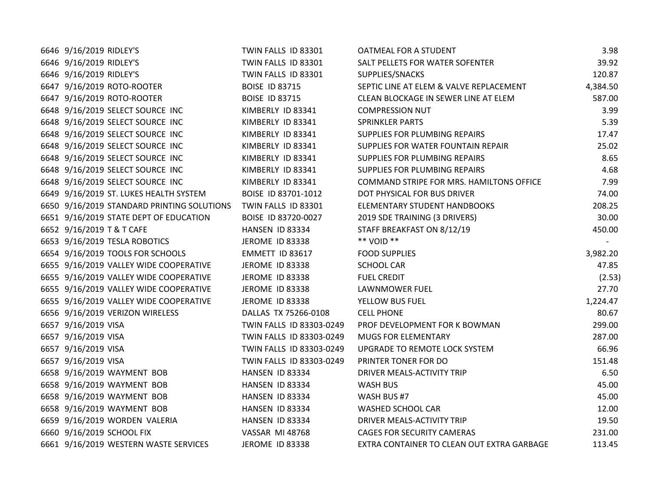| 6646 9/16/2019 RIDLEY'S                    | TWIN FALLS ID 83301      | OATMEAL FOR A STUDENT                      | 3.98     |
|--------------------------------------------|--------------------------|--------------------------------------------|----------|
| 6646 9/16/2019 RIDLEY'S                    | TWIN FALLS ID 83301      | SALT PELLETS FOR WATER SOFENTER            | 39.92    |
| 6646 9/16/2019 RIDLEY'S                    | TWIN FALLS ID 83301      | SUPPLIES/SNACKS                            | 120.87   |
| 6647 9/16/2019 ROTO-ROOTER                 | <b>BOISE ID 83715</b>    | SEPTIC LINE AT ELEM & VALVE REPLACEMENT    | 4,384.50 |
| 6647 9/16/2019 ROTO-ROOTER                 | <b>BOISE ID 83715</b>    | CLEAN BLOCKAGE IN SEWER LINE AT ELEM       | 587.00   |
| 6648 9/16/2019 SELECT SOURCE INC           | KIMBERLY ID 83341        | <b>COMPRESSION NUT</b>                     | 3.99     |
| 6648 9/16/2019 SELECT SOURCE INC           | KIMBERLY ID 83341        | <b>SPRINKLER PARTS</b>                     | 5.39     |
| 6648 9/16/2019 SELECT SOURCE INC           | KIMBERLY ID 83341        | SUPPLIES FOR PLUMBING REPAIRS              | 17.47    |
| 6648 9/16/2019 SELECT SOURCE INC           | KIMBERLY ID 83341        | SUPPLIES FOR WATER FOUNTAIN REPAIR         | 25.02    |
| 6648 9/16/2019 SELECT SOURCE INC           | KIMBERLY ID 83341        | <b>SUPPLIES FOR PLUMBING REPAIRS</b>       | 8.65     |
| 6648 9/16/2019 SELECT SOURCE INC           | KIMBERLY ID 83341        | SUPPLIES FOR PLUMBING REPAIRS              | 4.68     |
| 6648 9/16/2019 SELECT SOURCE INC           | KIMBERLY ID 83341        | COMMAND STRIPE FOR MRS. HAMILTONS OFFICE   | 7.99     |
| 6649 9/16/2019 ST. LUKES HEALTH SYSTEM     | BOISE ID 83701-1012      | DOT PHYSICAL FOR BUS DRIVER                | 74.00    |
| 6650 9/16/2019 STANDARD PRINTING SOLUTIONS | TWIN FALLS ID 83301      | ELEMENTARY STUDENT HANDBOOKS               | 208.25   |
| 6651 9/16/2019 STATE DEPT OF EDUCATION     | BOISE ID 83720-0027      | 2019 SDE TRAINING (3 DRIVERS)              | 30.00    |
| 6652 9/16/2019 T & T CAFE                  | HANSEN ID 83334          | STAFF BREAKFAST ON 8/12/19                 | 450.00   |
| 6653 9/16/2019 TESLA ROBOTICS              | JEROME ID 83338          | ** VOID **                                 |          |
| 6654 9/16/2019 TOOLS FOR SCHOOLS           | EMMETT ID 83617          | <b>FOOD SUPPLIES</b>                       | 3,982.20 |
| 6655 9/16/2019 VALLEY WIDE COOPERATIVE     | <b>JEROME ID 83338</b>   | <b>SCHOOL CAR</b>                          | 47.85    |
| 6655 9/16/2019 VALLEY WIDE COOPERATIVE     | JEROME ID 83338          | <b>FUEL CREDIT</b>                         | (2.53)   |
| 6655 9/16/2019 VALLEY WIDE COOPERATIVE     | <b>JEROME ID 83338</b>   | LAWNMOWER FUEL                             | 27.70    |
| 6655 9/16/2019 VALLEY WIDE COOPERATIVE     | JEROME ID 83338          | YELLOW BUS FUEL                            | 1,224.47 |
| 6656 9/16/2019 VERIZON WIRELESS            | DALLAS TX 75266-0108     | <b>CELL PHONE</b>                          | 80.67    |
| 6657 9/16/2019 VISA                        | TWIN FALLS ID 83303-0249 | PROF DEVELOPMENT FOR K BOWMAN              | 299.00   |
| 6657 9/16/2019 VISA                        | TWIN FALLS ID 83303-0249 | <b>MUGS FOR ELEMENTARY</b>                 | 287.00   |
| 6657 9/16/2019 VISA                        | TWIN FALLS ID 83303-0249 | UPGRADE TO REMOTE LOCK SYSTEM              | 66.96    |
| 6657 9/16/2019 VISA                        | TWIN FALLS ID 83303-0249 | PRINTER TONER FOR DO                       | 151.48   |
| 6658 9/16/2019 WAYMENT BOB                 | HANSEN ID 83334          | DRIVER MEALS-ACTIVITY TRIP                 | 6.50     |
| 6658 9/16/2019 WAYMENT BOB                 | HANSEN ID 83334          | WASH BUS                                   | 45.00    |
| 6658 9/16/2019 WAYMENT BOB                 | HANSEN ID 83334          | WASH BUS #7                                | 45.00    |
| 6658 9/16/2019 WAYMENT BOB                 | HANSEN ID 83334          | WASHED SCHOOL CAR                          | 12.00    |
| 6659 9/16/2019 WORDEN VALERIA              | HANSEN ID 83334          | DRIVER MEALS-ACTIVITY TRIP                 | 19.50    |
| 6660 9/16/2019 SCHOOL FIX                  | <b>VASSAR MI 48768</b>   | CAGES FOR SECURITY CAMERAS                 | 231.00   |
| 6661 9/16/2019 WESTERN WASTE SERVICES      | JEROME ID 83338          | EXTRA CONTAINER TO CLEAN OUT EXTRA GARBAGE | 113.45   |